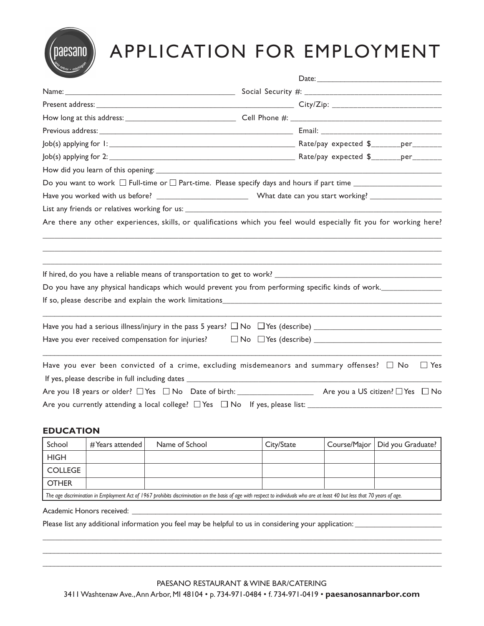

# APPLICATION FOR EMPLOYMENT

|                                                                                                 | Are there any other experiences, skills, or qualifications which you feel would especially fit you for working here? |
|-------------------------------------------------------------------------------------------------|----------------------------------------------------------------------------------------------------------------------|
|                                                                                                 |                                                                                                                      |
|                                                                                                 | Do you have any physical handicaps which would prevent you from performing specific kinds of work.                   |
|                                                                                                 |                                                                                                                      |
|                                                                                                 |                                                                                                                      |
|                                                                                                 |                                                                                                                      |
| Have you ever been convicted of a crime, excluding misdemeanors and summary offenses? $\Box$ No | $\Box$ Yes                                                                                                           |
|                                                                                                 |                                                                                                                      |
|                                                                                                 |                                                                                                                      |
|                                                                                                 |                                                                                                                      |

## **EDUCATION**

| School                                                                                                                                                                       | # Years attended $ $ | Name of School | City/State |  | Course/Major   Did you Graduate? |
|------------------------------------------------------------------------------------------------------------------------------------------------------------------------------|----------------------|----------------|------------|--|----------------------------------|
| <b>HIGH</b>                                                                                                                                                                  |                      |                |            |  |                                  |
| <b>COLLEGE</b>                                                                                                                                                               |                      |                |            |  |                                  |
| <b>OTHER</b>                                                                                                                                                                 |                      |                |            |  |                                  |
| The age discrimination in Employment Act of 1967 prohibits discrimination on the basis of age with respect to individuals who are at least 40 but less that 70 years of age. |                      |                |            |  |                                  |

Academic Honors received: \_\_\_\_

Please list any additional information you feel may be helpful to us in considering your application: \_\_\_\_\_\_\_\_

\_\_\_\_\_\_\_\_\_\_\_\_\_\_\_\_\_\_\_\_\_\_\_\_\_\_\_\_\_\_\_\_\_\_\_\_\_\_\_\_\_\_\_\_\_\_\_\_\_\_\_\_\_\_\_\_\_\_\_\_\_\_\_\_\_\_\_\_\_\_\_\_\_\_\_\_\_\_\_\_\_\_\_\_\_\_\_\_\_\_\_\_\_\_\_\_\_\_\_ \_\_\_\_\_\_\_\_\_\_\_\_\_\_\_\_\_\_\_\_\_\_\_\_\_\_\_\_\_\_\_\_\_\_\_\_\_\_\_\_\_\_\_\_\_\_\_\_\_\_\_\_\_\_\_\_\_\_\_\_\_\_\_\_\_\_\_\_\_\_\_\_\_\_\_\_\_\_\_\_\_\_\_\_\_\_\_\_\_\_\_\_\_\_\_\_\_\_\_\_\_\_\_\_ \_\_\_\_\_\_\_\_\_\_\_\_\_\_\_\_\_\_\_\_\_\_\_\_\_\_\_\_\_\_\_\_\_\_\_\_\_\_\_\_\_\_\_\_\_\_\_\_\_\_\_\_\_\_\_\_\_\_\_\_\_\_\_\_\_\_\_\_\_\_\_\_\_\_\_\_\_\_\_\_\_\_\_\_\_\_\_\_\_\_\_\_\_\_\_\_\_\_\_\_\_\_\_\_